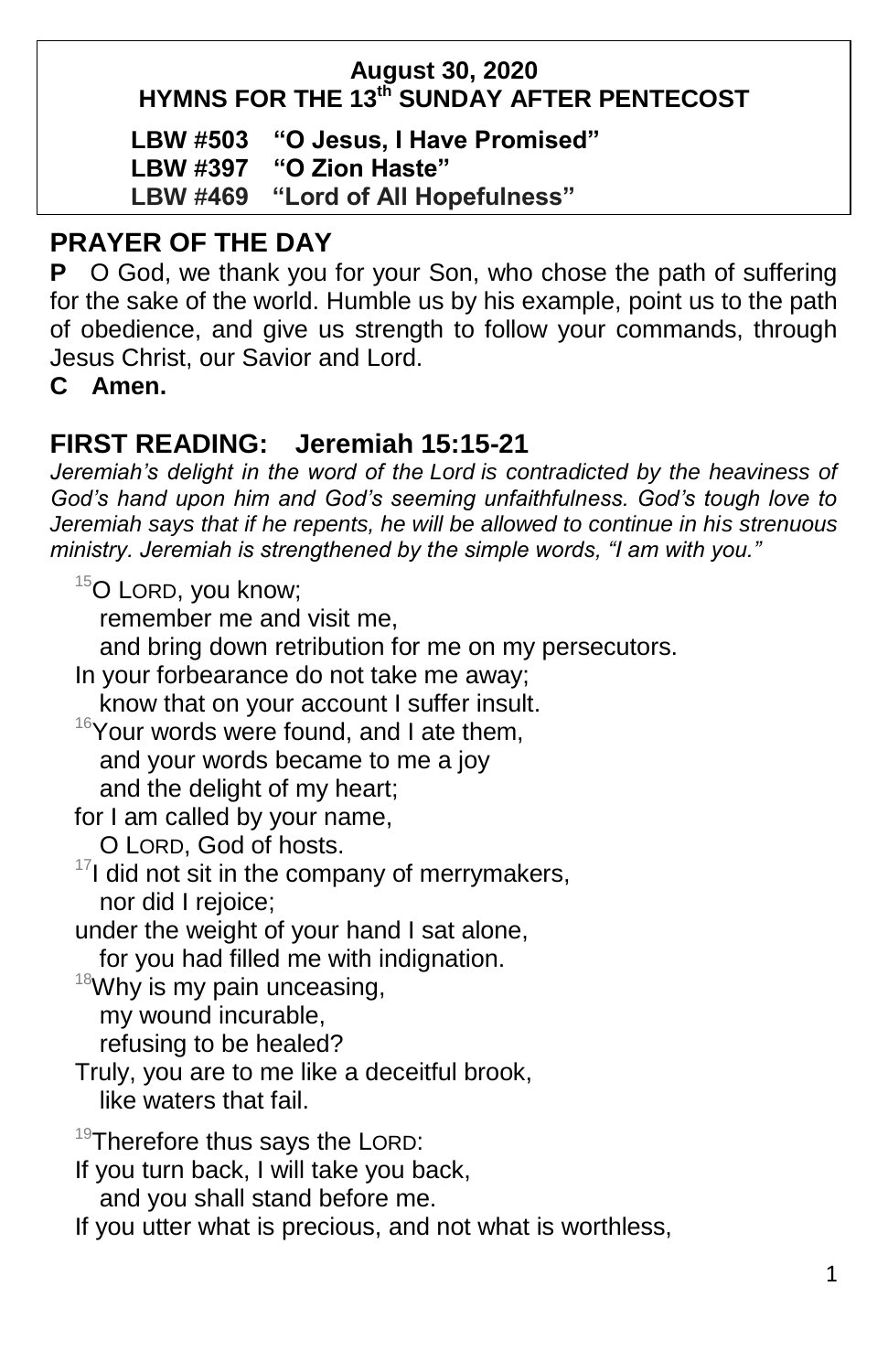### **August 30, 2020 HYMNS FOR THE 13 th SUNDAY AFTER PENTECOST**

**LBW #503 "O Jesus, I Have Promised"**

**LBW #397 "O Zion Haste"**

**LBW #469 "Lord of All Hopefulness"**

# **PRAYER OF THE DAY**

**P** O God, we thank you for your Son, who chose the path of suffering for the sake of the world. Humble us by his example, point us to the path of obedience, and give us strength to follow your commands, through Jesus Christ, our Savior and Lord.

**C Amen.**

# **FIRST READING: Jeremiah 15:15-21**

*Jeremiah's delight in the word of the Lord is contradicted by the heaviness of God's hand upon him and God's seeming unfaithfulness. God's tough love to Jeremiah says that if he repents, he will be allowed to continue in his strenuous ministry. Jeremiah is strengthened by the simple words, "I am with you."*

 $15$ O LORD, you know;

remember me and visit me,

and bring down retribution for me on my persecutors.

In your forbearance do not take me away; know that on your account I suffer insult.  $16$ Your words were found, and I ate them. and your words became to me a joy and the delight of my heart; for I am called by your name, O LORD, God of hosts.  $17$ I did not sit in the company of merrymakers, nor did I rejoice;

under the weight of your hand I sat alone,

for you had filled me with indignation.

 $18$ Why is my pain unceasing,

my wound incurable,

refusing to be healed?

Truly, you are to me like a deceitful brook, like waters that fail.

19Therefore thus says the LORD:

If you turn back, I will take you back, and you shall stand before me.

If you utter what is precious, and not what is worthless,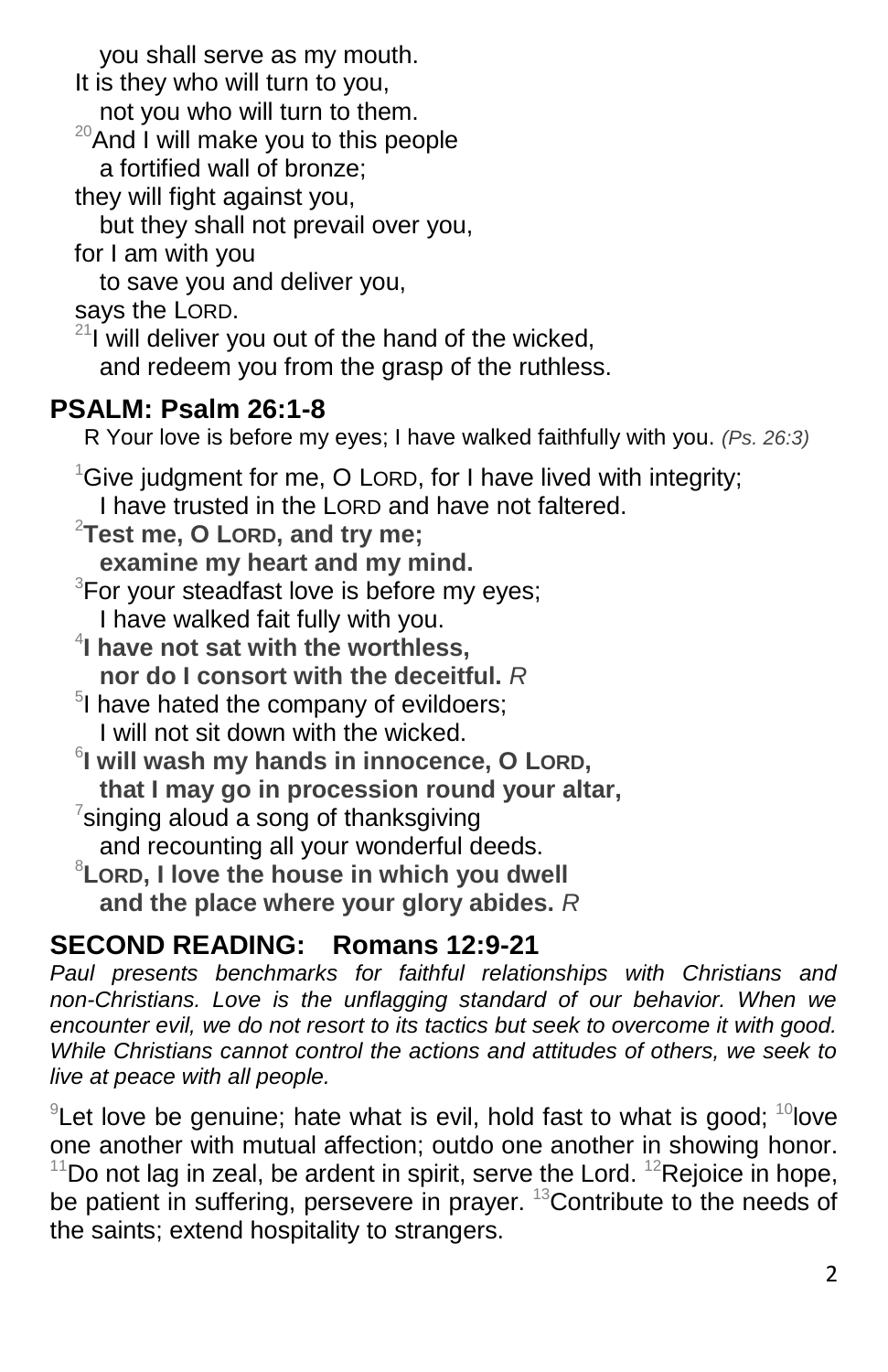you shall serve as my mouth. It is they who will turn to you, not you who will turn to them.  $20$ And I will make you to this people a fortified wall of bronze; they will fight against you, but they shall not prevail over you, for I am with you to save you and deliver you, says the LORD.  $21$  will deliver you out of the hand of the wicked, and redeem you from the grasp of the ruthless. **PSALM: Psalm 26:1-8** R Your love is before my eyes; I have walked faithfully with you. *(Ps. 26:3)*  $1$ Give judgment for me, O LORD, for I have lived with integrity; I have trusted in the LORD and have not faltered. <sup>2</sup>**Test me, O LORD, and try me; examine my heart and my mind.**  $3$ For your steadfast love is before my eyes; I have walked fait fully with you. 4 **I have not sat with the worthless, nor do I consort with the deceitful.** *R* <sup>5</sup>I have hated the company of evildoers; I will not sit down with the wicked. 6 **I will wash my hands in innocence, O LORD, that I may go in procession round your altar,**  $7$ singing aloud a song of thanksgiving and recounting all your wonderful deeds. <sup>8</sup>**LORD, I love the house in which you dwell and the place where your glory abides.** *R* **SECOND READING: Romans 12:9-21** *Paul presents benchmarks for faithful relationships with Christians and* 

*non-Christians. Love is the unflagging standard of our behavior. When we encounter evil, we do not resort to its tactics but seek to overcome it with good. While Christians cannot control the actions and attitudes of others, we seek to live at peace with all people.*

 $9$ Let love be genuine; hate what is evil, hold fast to what is good;  $10$ love one another with mutual affection; outdo one another in showing honor.  $11$ Do not lag in zeal, be ardent in spirit, serve the Lord.  $12$ Rejoice in hope,

be patient in suffering, persevere in prayer. <sup>13</sup>Contribute to the needs of the saints; extend hospitality to strangers.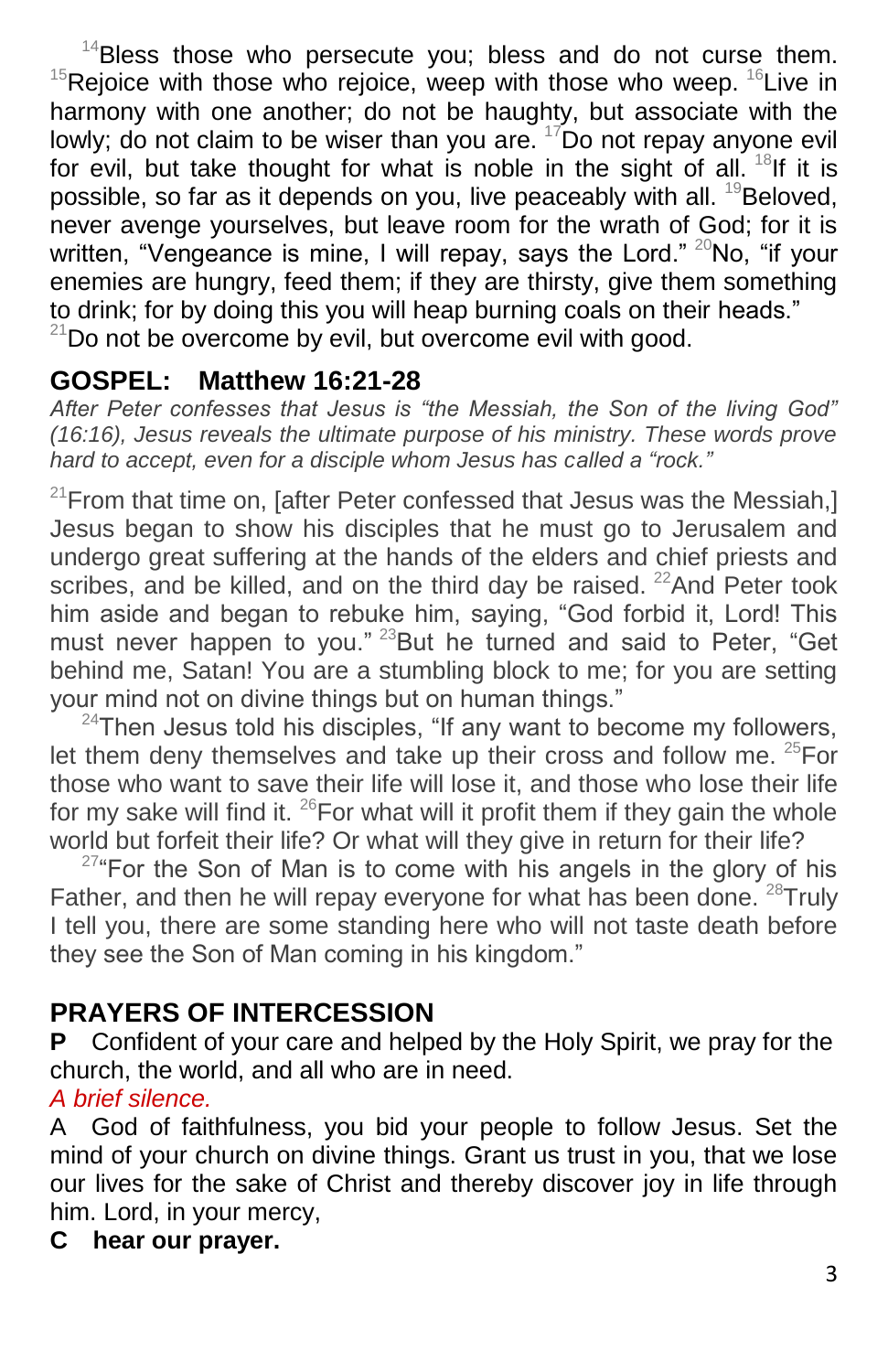$14$ Bless those who persecute you; bless and do not curse them.  $15$ Rejoice with those who rejoice, weep with those who weep.  $16$ Live in harmony with one another; do not be haughty, but associate with the lowly; do not claim to be wiser than you are.  $17$ Do not repay anyone evil for evil, but take thought for what is noble in the sight of all.  $18$ If it is possible, so far as it depends on you, live peaceably with all.  $^{19}$ Beloved, never avenge yourselves, but leave room for the wrath of God; for it is written, "Vengeance is mine, I will repay, says the Lord."  $20N$ o, "if your enemies are hungry, feed them; if they are thirsty, give them something to drink; for by doing this you will heap burning coals on their heads."  $21$ Do not be overcome by evil, but overcome evil with good.

# **GOSPEL: Matthew 16:21-28**

*After Peter confesses that Jesus is "the Messiah, the Son of the living God" (16:16), Jesus reveals the ultimate purpose of his ministry. These words prove hard to accept, even for a disciple whom Jesus has called a "rock."*

 $21$ From that time on, [after Peter confessed that Jesus was the Messiah,] Jesus began to show his disciples that he must go to Jerusalem and undergo great suffering at the hands of the elders and chief priests and scribes, and be killed, and on the third day be raised.  $22$ And Peter took him aside and began to rebuke him, saying, "God forbid it, Lord! This must never happen to you."<sup>23</sup>But he turned and said to Peter, "Get behind me, Satan! You are a stumbling block to me; for you are setting your mind not on divine things but on human things."

 $24$ Then Jesus told his disciples, "If any want to become my followers, let them deny themselves and take up their cross and follow me.  $25$ For those who want to save their life will lose it, and those who lose their life for my sake will find it.  $^{26}$  For what will it profit them if they gain the whole world but forfeit their life? Or what will they give in return for their life?

 $27^{\circ}$ For the Son of Man is to come with his angels in the glory of his Father, and then he will repay everyone for what has been done.  $28$ Truly I tell you, there are some standing here who will not taste death before they see the Son of Man coming in his kingdom."

# **PRAYERS OF INTERCESSION**

**P** Confident of your care and helped by the Holy Spirit, we pray for the church, the world, and all who are in need.

### *A brief silence.*

A God of faithfulness, you bid your people to follow Jesus. Set the mind of your church on divine things. Grant us trust in you, that we lose our lives for the sake of Christ and thereby discover joy in life through him. Lord, in your mercy,

### **C hear our prayer.**